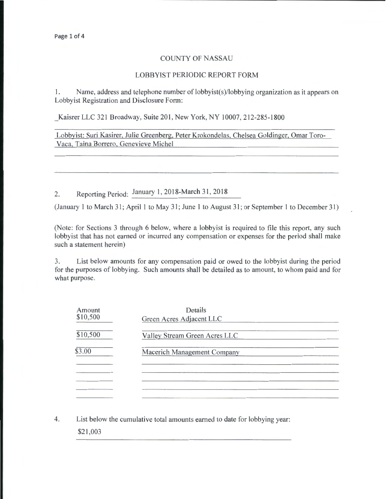## COUNTY OF NASSAU

## LOBBYIST PERIODIC REPORT FORM

I. Name, address and telephone number of lobbyist(s)/lobbying organization as it appears on Lobbyist Registration and Disclosure Form:

Kaisrer LLC 321 Broadway, Suite 201, New York, NY 10007, 212-285-1800

Lobbyist: Suri Kasirer, Julie Greenberg, Peter Krokondelas, Chelsea Goldinger, Omar Toro-Vaca, Taina Borrero, Genevieve Michel

2. Reporting Period: January 1, 2018-March 31, 2018

(January 1 to March 31; April 1 to May 31; June 1 to August 31; or September 1 to December 31)

(Note: for Sections 3 through 6 below, where a lobbyist is required to file this report, any such lobbyist that has not earned or incurred any compensation or expenses for the period shall make such a statement herein)

3. List below amounts for any compensation paid or owed to the lobbyist during the period for the purposes of lobbying. Such amounts shall be detailed as to amount, to whom paid and for what purpose.

| Amount<br>\$10,500 | Details<br>Green Acres Adjacent LLC |  |
|--------------------|-------------------------------------|--|
| \$10,500           | Valley Stream Green Acres LLC       |  |
| \$3.00             | Macerich Management Company         |  |
|                    |                                     |  |
|                    |                                     |  |

4. List below the cumulative total amounts earned to date for lobbying year:

\$21 ,003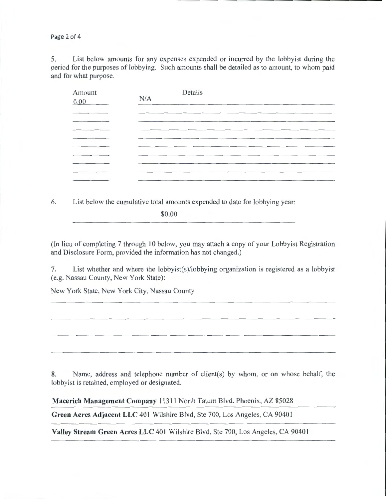Page 2 of 4

5. List below amounts for any expenses expended or incurred by the lobbyist during the period for the purposes of lobbying. Such amounts shall be detailed as to amount, to whom paid and for what purpose.

| Amount<br>$0.00\,$ | N/A | Details                                                                                                         |  |
|--------------------|-----|-----------------------------------------------------------------------------------------------------------------|--|
|                    |     | the contract of the contract of the contract of the contract of the contract of the contract of the contract of |  |
|                    |     |                                                                                                                 |  |
|                    |     |                                                                                                                 |  |
|                    |     |                                                                                                                 |  |
|                    |     |                                                                                                                 |  |

6. List below the cumulative total amounts expended to date for lobbying year:

\$0.00

(In lieu of completing 7 through 10 below, you may attach a copy of your Lobbyist Registration and Disclosure Form, provided the information has not changed.)

7. List whether and where the lobbyist(s)/lobbying organization is registered as a lobbyist (e.g. Nassau County, New York State):

New York State, New York City, Nassau County

8. Name, address and telephone number of client(s) by whom, or on whose behalf, the lobbyist is retained, employed or designated.

Macerich Management Company 11311 North Tatum Blvd. Phoenix, AZ 85028

Green Acres Adjacent LLC 401 Wilshire Blvd, Ste 700, Los Angeles, CA 90401

Valley Stream Green Acres LLC 401 Wilshire Blvd, Ste 700, Los Angeles, CA 90401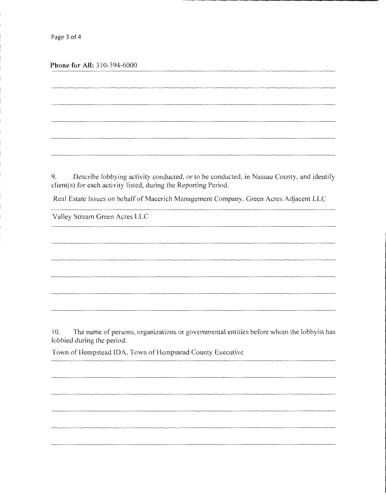**Phone for All:** 310-394-6000

9. Describe lobbying activity conducted, or to be conducted, in Nassau County, and identify client(s) for each activity listed, during the Reporting Period.

Real Estate Issues on behalf of Macerich Management Company, Green Acres Adjacent LLC

Valley Stream Green Acres LLC

10. The name of persons, organizations or governmental entities before whom the lobbyist has lobbied during the period.

Town of Hempstead IDA, Town of Hempstead County Executive